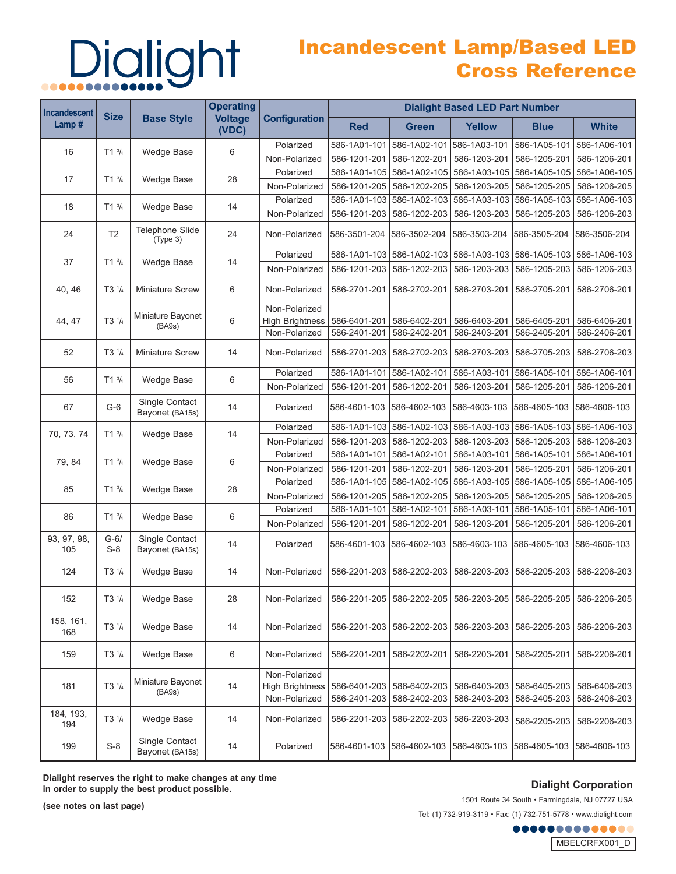## Dialight

### Incandescent Lamp/Based LED Cross Reference

| <b>Incandescent</b> | <b>Size</b>                      | <b>Base Style</b>                  | <b>Operating</b><br><b>Voltage</b><br>(VDC) | <b>Configuration</b>   | <b>Dialight Based LED Part Number</b> |                           |                           |                           |                           |  |
|---------------------|----------------------------------|------------------------------------|---------------------------------------------|------------------------|---------------------------------------|---------------------------|---------------------------|---------------------------|---------------------------|--|
| Lamp#               |                                  |                                    |                                             |                        | <b>Red</b>                            | <b>Green</b>              | <b>Yellow</b>             | <b>Blue</b>               | <b>White</b>              |  |
| 16                  |                                  |                                    |                                             | Polarized              | 586-1A01-101                          | 586-1A02-101              | 586-1A03-101              | 586-1A05-101              | 586-1A06-101              |  |
|                     | $T1^{3/4}$                       | <b>Wedge Base</b>                  | 6                                           | Non-Polarized          | 586-1201-201                          | 586-1202-201              | 586-1203-201              | 586-1205-201              | 586-1206-201              |  |
| $T1^{3/4}$<br>17    |                                  |                                    | Polarized                                   |                        | 586-1A01-105 586-1A02-105             | 586-1A03-105              |                           | 586-1A05-105 586-1A06-105 |                           |  |
|                     |                                  | <b>Wedge Base</b>                  | 28                                          | Non-Polarized          | 586-1201-205                          | 586-1202-205              | 586-1203-205              | 586-1205-205              | 586-1206-205              |  |
| 18                  |                                  | <b>Wedge Base</b>                  | 14                                          | Polarized              | 586-1A01-103                          | 586-1A02-103              | 586-1A03-103              |                           | 586-1A05-103 586-1A06-103 |  |
|                     | $T1^{3}/_{4}$                    |                                    |                                             | Non-Polarized          | 586-1201-203                          | 586-1202-203              | 586-1203-203              | 586-1205-203              | 586-1206-203              |  |
| 24                  | T <sub>2</sub>                   | <b>Telephone Slide</b><br>(Type 3) | 24                                          | Non-Polarized          | 586-3501-204                          | 586-3502-204              | 586-3503-204              | 586-3505-204              | 586-3506-204              |  |
|                     |                                  |                                    |                                             | Polarized              |                                       | 586-1A01-103 586-1A02-103 | 586-1A03-103              | 586-1A05-103 586-1A06-103 |                           |  |
| 37                  | $T1^{3}/4$                       | <b>Wedge Base</b>                  | 14                                          | Non-Polarized          | 586-1201-203                          | 586-1202-203              | 586-1203-203              | 586-1205-203              | 586-1206-203              |  |
| 40, 46              | T3 <sup>1</sup> / <sub>4</sub>   | <b>Miniature Screw</b>             | 6                                           | Non-Polarized          | 586-2701-201                          | 586-2702-201              | 586-2703-201              | 586-2705-201              | 586-2706-201              |  |
|                     |                                  |                                    |                                             | Non-Polarized          |                                       |                           |                           |                           |                           |  |
| 44.47               | T3 <sup>1</sup> / <sub>4</sub>   | Miniature Bayonet<br>(BA9s)        | 6                                           | <b>High Brightness</b> | 586-6401-201                          | 586-6402-201              | 586-6403-201              | 586-6405-201              | 586-6406-201              |  |
|                     |                                  |                                    |                                             | Non-Polarized          | 586-2401-201                          | 586-2402-201              | 586-2403-201              | 586-2405-201              | 586-2406-201              |  |
| 52                  | T3 <sup>1</sup> / <sub>4</sub>   | <b>Miniature Screw</b>             | 14                                          | Non-Polarized          |                                       | 586-2701-203 586-2702-203 | 586-2703-203              | 586-2705-203              | 586-2706-203              |  |
| 56                  | $T1^{3}/4$                       | <b>Wedge Base</b>                  | 6                                           | Polarized              | 586-1A01-101                          | 586-1A02-101              | 586-1A03-101              | 586-1A05-101              | 586-1A06-101              |  |
|                     |                                  |                                    |                                             | Non-Polarized          | 586-1201-201                          | 586-1202-201              | 586-1203-201              | 586-1205-201              | 586-1206-201              |  |
| 67                  | $G-6$                            | Single Contact<br>Bayonet (BA15s)  | 14                                          | Polarized              | 586-4601-103                          | 586-4602-103              | 586-4603-103 586-4605-103 |                           | 1586-4606-103             |  |
|                     |                                  | <b>Wedge Base</b>                  | 14                                          | Polarized              |                                       | 586-1A01-103 586-1A02-103 | 586-1A03-103              | 586-1A05-103 586-1A06-103 |                           |  |
| 70, 73, 74          | $T1^{3/4}$                       |                                    |                                             | Non-Polarized          | 586-1201-203                          | 586-1202-203              | 586-1203-203              | 586-1205-203              | 586-1206-203              |  |
|                     |                                  |                                    | 6                                           | Polarized              | 586-1A01-101                          | 586-1A02-101              | 586-1A03-101              | 586-1A05-101              | 586-1A06-101              |  |
| 79, 84              | $T1^{3}/_{4}$                    | <b>Wedge Base</b>                  |                                             | Non-Polarized          | 586-1201-201                          | 586-1202-201              | 586-1203-201              | 586-1205-201              | 586-1206-201              |  |
| 85                  |                                  | <b>Wedge Base</b>                  | 28                                          | Polarized              |                                       | 586-1A01-105 586-1A02-105 | 586-1A03-105              | 586-1A05-105              | 586-1A06-105              |  |
|                     | $T1^{3}/_{4}$                    |                                    |                                             | Non-Polarized          | 586-1201-205                          | 586-1202-205              | 586-1203-205              | 586-1205-205              | 586-1206-205              |  |
|                     | $T1^{3}/4$                       |                                    | 6                                           | Polarized              | 586-1A01-101                          | 586-1A02-101              | 586-1A03-101              | 586-1A05-101              | 586-1A06-101              |  |
| 86                  |                                  | <b>Wedge Base</b>                  |                                             | Non-Polarized          | 586-1201-201                          | 586-1202-201              | 586-1203-201              | 586-1205-201              | 586-1206-201              |  |
| 93, 97, 98,<br>105  | $G-6/$<br>$S-8$                  | Single Contact<br>Bayonet (BA15s)  | 14                                          | Polarized              | 586-4601-103                          | 586-4602-103              | 586-4603-103              | 586-4605-103              | 586-4606-103              |  |
| 124                 | $T3$ <sup><math>1/4</math></sup> | <b>Wedge Base</b>                  | 14                                          | Non-Polarized          | 586-2201-203                          | 586-2202-203              | 586-2203-203              | 586-2205-203              | 586-2206-203              |  |
| 152                 | $T3$ $1/4$                       | Wedge Base                         | 28                                          | Non-Polarized          |                                       | 586-2201-205 586-2202-205 | 586-2203-205              | 586-2205-205              | 586-2206-205              |  |
| 158, 161,<br>168    | $T3$ $1/4$                       | <b>Wedge Base</b>                  | 14                                          | Non-Polarized          | 586-2201-203                          | 586-2202-203              | 586-2203-203              | 586-2205-203              | 586-2206-203              |  |
| 159                 | $T3$ $1/4$                       | Wedge Base                         | 6                                           | Non-Polarized          | 586-2201-201                          | 586-2202-201              | 586-2203-201              | 586-2205-201              | 586-2206-201              |  |
|                     | $T3$ $1/4$                       |                                    | 14                                          | Non-Polarized          |                                       |                           |                           |                           |                           |  |
| 181                 |                                  | Miniature Bayonet<br>(BA9s)        |                                             | <b>High Brightness</b> | 586-6401-203                          | 586-6402-203              | 586-6403-203              | 586-6405-203              | 586-6406-203              |  |
|                     |                                  |                                    |                                             | Non-Polarized          | 586-2401-203                          | 586-2402-203              | 586-2403-203              | 586-2405-203              | 586-2406-203              |  |
| 184, 193,<br>194    | $T3$ $1/4$                       | Wedge Base                         | 14                                          | Non-Polarized          | 586-2201-203                          | 586-2202-203              | 586-2203-203              | 586-2205-203              | 586-2206-203              |  |
| 199                 | $S-8$                            | Single Contact<br>Bayonet (BA15s)  | 14                                          | Polarized              | 586-4601-103                          | 586-4602-103              | 586-4603-103              | 586-4605-103              | 586-4606-103              |  |

**Dialight reserves the right to make changes at any time in order to supply the best product possible.**

**Dialight Corporation** 

**(see notes on last page)**

1501 Route 34 South • Farmingdale, NJ 07727 USA Tel: (1) 732-919-3119 • Fax: (1) 732-751-5778 • www.dialight.com

.............

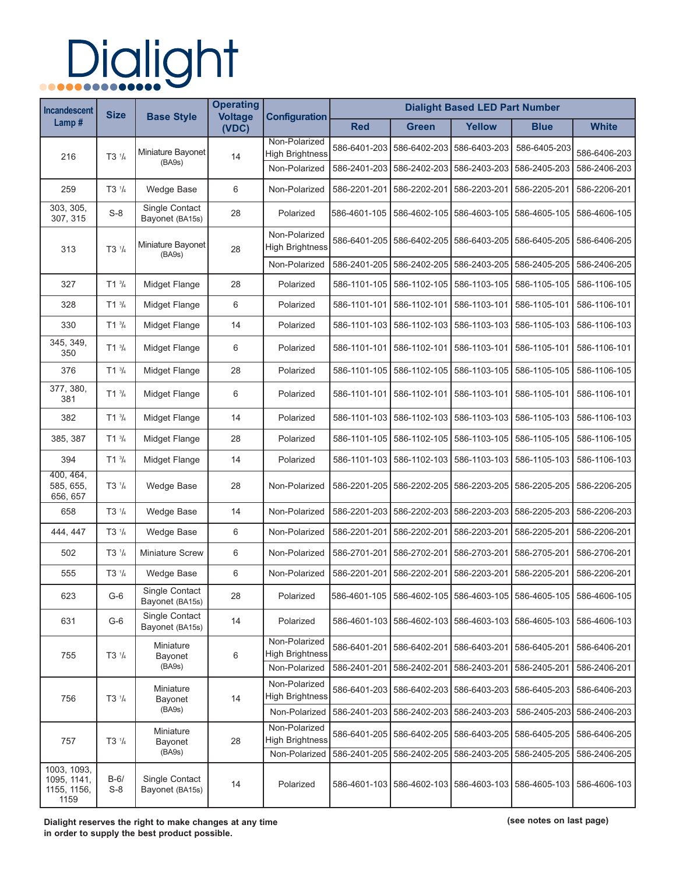# Dialight

| <b>Incandescent</b><br>Lamp#                      | <b>Size</b>                      | <b>Base Style</b>                 | <b>Operating</b><br><b>Voltage</b><br>(VDC) | <b>Configuration</b>                    | <b>Dialight Based LED Part Number</b> |                           |                                           |                                                                  |                              |  |
|---------------------------------------------------|----------------------------------|-----------------------------------|---------------------------------------------|-----------------------------------------|---------------------------------------|---------------------------|-------------------------------------------|------------------------------------------------------------------|------------------------------|--|
|                                                   |                                  |                                   |                                             |                                         | <b>Red</b>                            | <b>Green</b>              | <b>Yellow</b>                             | <b>Blue</b>                                                      | <b>White</b>                 |  |
| 216                                               | T3 <sup>1</sup> / <sub>4</sub>   | Miniature Bayonet<br>(BA9s)       | 14                                          | Non-Polarized<br><b>High Brightness</b> | 586-6401-203                          | 586-6402-203              | 586-6403-203                              | 586-6405-203                                                     | 586-6406-203                 |  |
|                                                   |                                  |                                   |                                             | Non-Polarized                           | 586-2401-203                          | 586-2402-203              | 586-2403-203                              | 586-2405-203                                                     | 586-2406-203                 |  |
| 259                                               | $T3 \frac{1}{4}$                 | <b>Wedge Base</b>                 | 6                                           | Non-Polarized                           | 586-2201-201                          | 586-2202-201              | 586-2203-201                              | 586-2205-201                                                     | 586-2206-201                 |  |
| 303, 305,<br>307, 315                             | $S-8$                            | Single Contact<br>Bayonet (BA15s) | 28                                          | Polarized                               | 586-4601-105                          | 586-4602-105              | 586-4603-105                              | 586-4605-105                                                     | 586-4606-105                 |  |
| 313                                               | $T3$ <sup><math>1/4</math></sup> | Miniature Bayonet<br>(BA9s)       | 28                                          | Non-Polarized<br><b>High Brightness</b> | 586-6401-205                          | 586-6402-205 586-6403-205 |                                           | 586-6405-205                                                     | 586-6406-205                 |  |
|                                                   |                                  |                                   |                                             | Non-Polarized                           | 586-2401-205                          | 586-2402-205              | 586-2403-205                              | 586-2405-205                                                     | 586-2406-205                 |  |
| 327                                               | $T1^{3/4}$                       | Midget Flange                     | 28                                          | Polarized                               | 586-1101-105                          | 586-1102-105              | 586-1103-105                              | 586-1105-105                                                     | 586-1106-105                 |  |
| 328                                               | $T1^{3}/4$                       | Midget Flange                     | 6                                           | Polarized                               | 586-1101-101                          | 586-1102-101              | 586-1103-101                              | 586-1105-101                                                     | 586-1106-101                 |  |
| 330                                               | $T1^{3}/4$                       | Midget Flange                     | 14                                          | Polarized                               | 586-1101-103                          | 586-1102-103              | 586-1103-103                              | 586-1105-103                                                     | 586-1106-103                 |  |
| 345, 349,<br>350                                  | $T1^{3}/_{4}$                    | Midget Flange                     | 6                                           | Polarized                               | 586-1101-101                          | 586-1102-101              | 586-1103-101                              | 586-1105-101                                                     | 586-1106-101                 |  |
| 376                                               | $T1^{3}/4$                       | Midget Flange                     | 28                                          | Polarized                               | 586-1101-105                          | 586-1102-105              | 586-1103-105                              | 586-1105-105                                                     | 586-1106-105                 |  |
| 377, 380,<br>381                                  | $T1^{3}/_{4}$                    | Midget Flange                     | 6                                           | Polarized                               | 586-1101-101                          | 586-1102-101              | 586-1103-101                              | 586-1105-101                                                     | 586-1106-101                 |  |
| 382                                               | $T1^{3}/4$                       | Midget Flange                     | 14                                          | Polarized                               | 586-1101-103                          | 586-1102-103              | 586-1103-103                              | 586-1105-103                                                     | 586-1106-103                 |  |
| 385, 387                                          | $T1^{3}/_{4}$                    | Midget Flange                     | 28                                          | Polarized                               | 586-1101-105                          | 586-1102-105              | 586-1103-105                              | 586-1105-105                                                     | 586-1106-105                 |  |
| 394                                               | $T1^{3/4}$                       | Midget Flange                     | 14                                          | Polarized                               | 586-1101-103                          | 586-1102-103              | 586-1103-103                              | 586-1105-103                                                     | 586-1106-103                 |  |
| 400, 464,<br>585, 655,<br>656, 657                | T3 <sup>1</sup> / <sub>4</sub>   | Wedge Base                        | 28                                          | Non-Polarized                           | 586-2201-205                          | 586-2202-205              | 586-2203-205                              | 586-2205-205                                                     | 586-2206-205                 |  |
| 658                                               | $T3 \frac{1}{4}$                 | <b>Wedge Base</b>                 | 14                                          | Non-Polarized                           | 586-2201-203                          | 586-2202-203              | 586-2203-203                              | 586-2205-203                                                     | 586-2206-203                 |  |
| 444, 447                                          | $T3 \frac{1}{4}$                 | <b>Wedge Base</b>                 | 6                                           | Non-Polarized                           | 586-2201-201                          | 586-2202-201              | 586-2203-201                              | 586-2205-201                                                     | 586-2206-201                 |  |
| 502                                               | T3 <sup>1</sup> / <sub>4</sub>   | Miniature Screw                   | 6                                           | Non-Polarized                           | 586-2701-201                          | 586-2702-201              | 586-2703-201                              | 586-2705-201                                                     | 586-2706-201                 |  |
| 555                                               | $T3$ $1/4$                       | <b>Wedge Base</b>                 | 6                                           | Non-Polarized                           | 586-2201-201                          | 586-2202-201              | 586-2203-201                              | 586-2205-201                                                     | 586-2206-201                 |  |
| 623                                               | $G-6$                            | Single Contact<br>Bayonet (BA15s) | 28                                          | Polarized                               | 586-4601-105                          |                           |                                           | 586-4602-105 586-4603-105 586-4605-105 586-4606-105              |                              |  |
| 631                                               | $G-6$                            | Single Contact<br>Bayonet (BA15s) | 14                                          | Polarized                               |                                       |                           |                                           | 586-4601-103 586-4602-103 586-4603-103 586-4605-103 586-4606-103 |                              |  |
| 755                                               | $T3 \frac{1}{4}$                 | Miniature<br>Bayonet<br>(BA9s)    | 6                                           | Non-Polarized<br><b>High Brightness</b> |                                       | 586-6401-201 586-6402-201 | 586-6403-201                              | 586-6405-201                                                     | 586-6406-201                 |  |
|                                                   |                                  |                                   |                                             | Non-Polarized                           | 586-2401-201                          | 586-2402-201              | 586-2403-201                              | 586-2405-201                                                     | 586-2406-201                 |  |
| 756                                               | $T3 \frac{1}{4}$                 | Miniature<br>Bayonet              | 14                                          | Non-Polarized<br><b>High Brightness</b> | 586-6401-203                          | 586-6402-203              | 586-6403-203                              | 586-6405-203                                                     | 586-6406-203                 |  |
|                                                   |                                  | (BA9s)                            |                                             | Non-Polarized                           | 586-2401-203                          | 586-2402-203              | 586-2403-203                              | 586-2405-203                                                     | 586-2406-203                 |  |
| 757                                               | $T3 \frac{1}{4}$                 | Miniature<br>Bayonet<br>(BA9s)    | 28                                          | Non-Polarized<br><b>High Brightness</b> |                                       | 586-6401-205 586-6402-205 | 586-6403-205                              | 586-6405-205                                                     | 586-6406-205                 |  |
| 1003, 1093,<br>1095, 1141,<br>1155, 1156,<br>1159 | $B-6/$<br>$S-8$                  | Single Contact<br>Bayonet (BA15s) | 14                                          | Non-Polarized<br>Polarized              | 586-2401-205<br>586-4601-103          | 586-2402-205              | 586-2403-205<br>586-4602-103 586-4603-103 | 586-2405-205<br>586-4605-103                                     | 586-2406-205<br>586-4606-103 |  |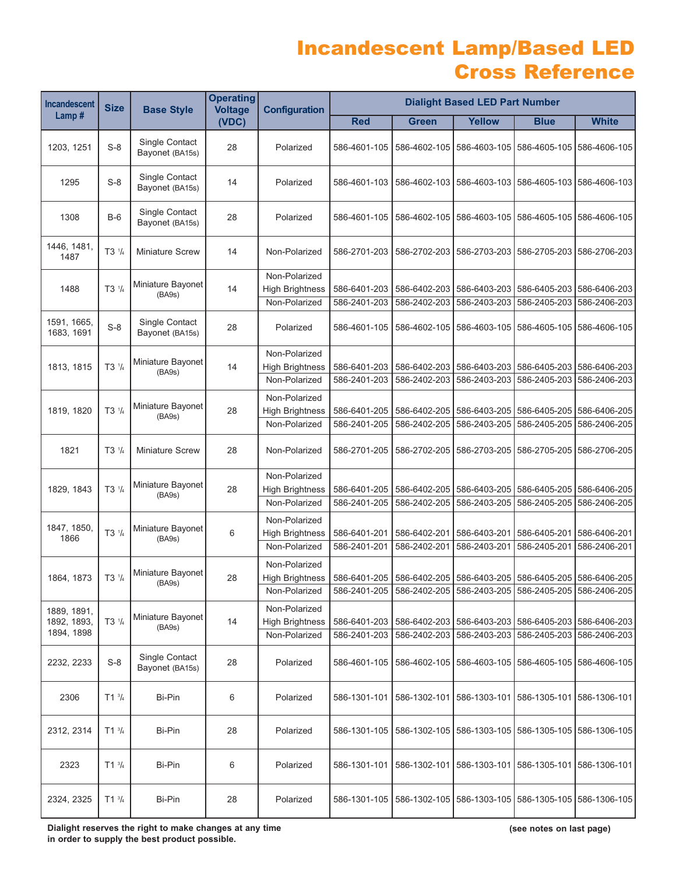### Incandescent Lamp/Based LED Cross Reference

| <b>Incandescent</b>       | <b>Size</b>                    | <b>Base Style</b>                 | <b>Operating</b><br><b>Voltage</b><br>(VDC) | <b>Configuration</b>                    | <b>Dialight Based LED Part Number</b> |              |               |                                                           |                           |  |
|---------------------------|--------------------------------|-----------------------------------|---------------------------------------------|-----------------------------------------|---------------------------------------|--------------|---------------|-----------------------------------------------------------|---------------------------|--|
| Lamp#                     |                                |                                   |                                             |                                         | <b>Red</b>                            | <b>Green</b> | <b>Yellow</b> | <b>Blue</b>                                               | <b>White</b>              |  |
| 1203, 1251                | $S-8$                          | Single Contact<br>Bayonet (BA15s) | 28                                          | Polarized                               | 586-4601-105                          | 586-4602-105 | 586-4603-105  | 586-4605-105                                              | 586-4606-105              |  |
| 1295                      | $S-8$                          | Single Contact<br>Bayonet (BA15s) | 14                                          | Polarized                               | 586-4601-103                          | 586-4602-103 |               | 586-4603-103   586-4605-103   586-4606-103                |                           |  |
| 1308                      | $B-6$                          | Single Contact<br>Bayonet (BA15s) | 28                                          | Polarized                               | 586-4601-105                          | 586-4602-105 | 586-4603-105  |                                                           | 586-4605-105 586-4606-105 |  |
| 1446, 1481,<br>1487       | $T3$ $1/4$                     | <b>Miniature Screw</b>            | 14                                          | Non-Polarized                           | 586-2701-203                          | 586-2702-203 | 586-2703-203  | 586-2705-203                                              | 586-2706-203              |  |
| 1488                      | T3 <sup>1</sup> / <sub>4</sub> | Miniature Bayonet<br>(BA9s)       | 14                                          | Non-Polarized<br><b>High Brightness</b> | 586-6401-203                          | 586-6402-203 | 586-6403-203  |                                                           | 586-6405-203 586-6406-203 |  |
|                           |                                |                                   |                                             | Non-Polarized                           | 586-2401-203                          | 586-2402-203 | 586-2403-203  | 586-2405-203                                              | 586-2406-203              |  |
| 1591, 1665,<br>1683, 1691 | $S-8$                          | Single Contact<br>Bayonet (BA15s) | 28                                          | Polarized                               | 586-4601-105                          | 586-4602-105 | 586-4603-105  | 586-4605-105                                              | 586-4606-105              |  |
|                           |                                |                                   |                                             | Non-Polarized                           |                                       |              |               |                                                           |                           |  |
| 1813, 1815                | $T3$ $1/4$                     | Miniature Bayonet<br>(BA9s)       | 14                                          | <b>High Brightness</b>                  | 586-6401-203                          | 586-6402-203 |               | 586-6403-203 586-6405-203 586-6406-203                    |                           |  |
|                           |                                |                                   |                                             | Non-Polarized                           | 586-2401-203                          | 586-2402-203 | 586-2403-203  | 586-2405-203                                              | 586-2406-203              |  |
|                           |                                |                                   |                                             | Non-Polarized                           |                                       |              |               |                                                           |                           |  |
| 1819, 1820                | T3 <sup>1</sup> / <sub>4</sub> | Miniature Bayonet<br>(BA9s)       | 28                                          | <b>High Brightness</b>                  | 586-6401-205                          | 586-6402-205 | 586-6403-205  | 586-6405-205                                              | 586-6406-205              |  |
|                           |                                |                                   |                                             | Non-Polarized                           | 586-2401-205                          | 586-2402-205 | 586-2403-205  | 586-2405-205                                              | 586-2406-205              |  |
| 1821                      | $T3$ $1/4$                     | <b>Miniature Screw</b>            | 28                                          | Non-Polarized                           | 586-2701-205                          | 586-2702-205 | 586-2703-205  | 586-2705-205                                              | 586-2706-205              |  |
|                           |                                |                                   |                                             | Non-Polarized                           |                                       |              |               |                                                           |                           |  |
| 1829, 1843                | T3 <sup>1</sup> / <sub>4</sub> | Miniature Bayonet<br>(BA9s)       | 28                                          | <b>High Brightness</b>                  | 586-6401-205                          | 586-6402-205 | 586-6403-205  | 586-6405-205                                              | 586-6406-205              |  |
|                           |                                |                                   |                                             | Non-Polarized                           | 586-2401-205                          | 586-2402-205 | 586-2403-205  | 586-2405-205                                              | 586-2406-205              |  |
|                           |                                |                                   |                                             | Non-Polarized                           |                                       |              |               |                                                           |                           |  |
| 1847, 1850,<br>1866       | $T3$ $1/4$                     | Miniature Bayonet                 | 6                                           | <b>High Brightness</b>                  | 586-6401-201                          | 586-6402-201 | 586-6403-201  | 586-6405-201                                              | 586-6406-201              |  |
|                           |                                | (BA9s)                            |                                             | Non-Polarized                           | 586-2401-201                          | 586-2402-201 | 586-2403-201  | 586-2405-201                                              | 586-2406-201              |  |
|                           |                                |                                   |                                             | Non-Polarized                           |                                       |              |               |                                                           |                           |  |
| 1864, 1873                | T3 <sup>1</sup> / <sub>4</sub> | Miniature Bayonet<br>(BA9s)       | 28                                          | <b>High Brightness</b>                  | 586-6401-205                          | 586-6402-205 |               | 586-6403-205   586-6405-205   586-6406-205                |                           |  |
|                           |                                |                                   |                                             | Non-Polarized                           | 586-2401-205                          |              |               | 586-2402-205   586-2403-205   586-2405-205   586-2406-205 |                           |  |
| 1889, 1891,               |                                |                                   |                                             | Non-Polarized                           |                                       |              |               |                                                           |                           |  |
| 1892, 1893,               | $T3$ $1/4$                     | Miniature Bayonet                 | 14                                          | <b>High Brightness</b>                  | 586-6401-203                          | 586-6402-203 |               | 586-6403-203   586-6405-203   586-6406-203                |                           |  |
| 1894, 1898                |                                | (BA9s)                            |                                             | Non-Polarized                           | 586-2401-203                          | 586-2402-203 | 586-2403-203  | 586-2405-203                                              | 586-2406-203              |  |
| 2232, 2233                | $S-8$                          | Single Contact<br>Bayonet (BA15s) | 28                                          | Polarized                               | 586-4601-105                          | 586-4602-105 | 586-4603-105  | 586-4605-105   586-4606-105                               |                           |  |
| 2306                      | $T1^{3}/4$                     | Bi-Pin                            | 6                                           | Polarized                               | 586-1301-101                          | 586-1302-101 | 586-1303-101  | 586-1305-101                                              | 586-1306-101              |  |
| 2312, 2314                | $T1^{3}/_{4}$                  | Bi-Pin                            | 28                                          | Polarized                               | 586-1301-105                          | 586-1302-105 |               | 586-1303-105 586-1305-105 586-1306-105                    |                           |  |
| 2323                      | $T1^{3}/_{4}$                  | Bi-Pin                            | 6                                           | Polarized                               | 586-1301-101                          | 586-1302-101 |               | 586-1303-101 586-1305-101 586-1306-101                    |                           |  |
| 2324, 2325                | $T1^{3}/_{4}$                  | Bi-Pin                            | 28                                          | Polarized                               | 586-1301-105                          |              |               | 586-1302-105   586-1303-105   586-1305-105   586-1306-105 |                           |  |